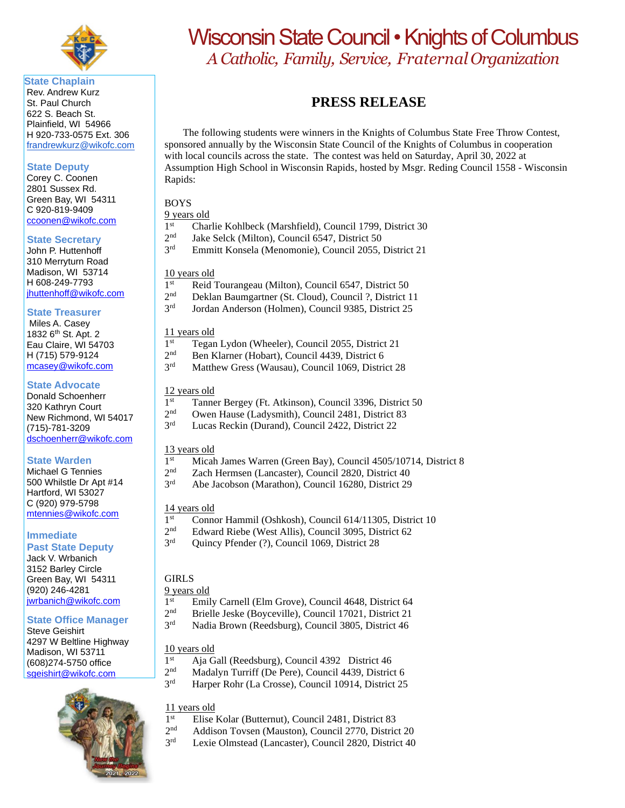

**State Chaplain** Rev. Andrew Kurz St. Paul Church 622 S. Beach St. Plainfield, WI 54966 H 920-733-0575 Ext. 306 [frandrewkurz@wikofc.com](mailto:frandrewkurz@wikofc.com)

#### **State Deputy**

Corey C. Coonen 2801 Sussex Rd. Green Bay, WI 54311 C 920-819-9409 [ccoonen@wikofc.com](mailto:ccoonen@wikofc.com)

#### **State Secretary**

John P. Huttenhoff 310 Merryturn Road Madison, WI 53714 H 608-249-7793 [jhuttenhoff@wikofc.com](mailto:jhuttenhoff@wikofc.com)

#### **State Treasurer**

 Miles A. Casey 1832 6<sup>th</sup> St. Apt. 2 Eau Claire, WI 54703 H (715) 579-9124 [mcasey@wikofc.com](mailto:mcasey@wikofc.com)

#### **State Advocate**

Donald Schoenherr 320 Kathryn Court New Richmond, WI 54017 (715)-781-3209 [dschoenherr@wikofc.com](mailto:dschoenherr@wikofc.com)

#### **State Warden**

Michael G Tennies 500 Whilstle Dr Apt #14 Hartford, WI 53027 C (920) 979-5798 [mtennies@wikofc.com](mailto:mtennies@wikofc.com)

#### **Immediate**

**Past State Deputy** Jack V. Wrbanich 3152 Barley Circle Green Bay, WI 54311 (920) 246-4281 [jwrbanich@wikofc.com](mailto:jwrbanich@wikofc.com)

#### **State Office Manager**

Steve Geishirt 4297 W Beltline Highway Madison, WI 53711 (608)274-5750 office [sgeishirt@wikofc.com](mailto:sgeishirt@wikofc.com)



# Wisconsin State Council • Knights of Columbus *A Catholic, Family, Service, FraternalOrganization*

## **PRESS RELEASE**

The following students were winners in the Knights of Columbus State Free Throw Contest, sponsored annually by the Wisconsin State Council of the Knights of Columbus in cooperation with local councils across the state. The contest was held on Saturday, April 30, 2022 at Assumption High School in Wisconsin Rapids, hosted by Msgr. Reding Council 1558 - Wisconsin Rapids:

## BOYS

9 years old

- $1<sup>st</sup>$ Charlie Kohlbeck (Marshfield), Council 1799, District 30
- $2<sup>nd</sup>$ Jake Selck (Milton), Council 6547, District 50
- 3rd Emmitt Konsela (Menomonie), Council 2055, District 21

#### 10 years old

- 1<sup>st</sup> Reid Tourangeau (Milton), Council 6547, District 50
- $2<sup>nd</sup>$ Deklan Baumgartner (St. Cloud), Council ?, District 11
- 3rd Jordan Anderson (Holmen), Council 9385, District 25

### 11 years old

- $1^{\rm st}$ Tegan Lydon (Wheeler), Council 2055, District 21
- $2<sup>nd</sup>$ Ben Klarner (Hobart), Council 4439, District 6
- 3rd Matthew Gress (Wausau), Council 1069, District 28

#### 12 years old

- $1<sup>st</sup>$ Tanner Bergey (Ft. Atkinson), Council 3396, District 50
- $2<sup>nd</sup>$ Owen Hause (Ladysmith), Council 2481, District 83
- 3rd Lucas Reckin (Durand), Council 2422, District 22

#### 13 years old

- $1<sup>st</sup>$ Micah James Warren (Green Bay), Council 4505/10714, District 8
- $2<sub>nd</sub>$ Zach Hermsen (Lancaster), Council 2820, District 40
- 3rd Abe Jacobson (Marathon), Council 16280, District 29

#### 14 years old

- $1<sup>st</sup>$ Connor Hammil (Oshkosh), Council 614/11305, District 10
- $2<sub>nd</sub>$ Edward Riebe (West Allis), Council 3095, District 62
- 3rd Quincy Pfender (?), Council 1069, District 28

#### GIRLS

#### 9 years old

- $1<sup>st</sup>$ Emily Carnell (Elm Grove), Council 4648, District 64
- $2<sup>nd</sup>$ Brielle Jeske (Boyceville), Council 17021, District 21
- 3rd Nadia Brown (Reedsburg), Council 3805, District 46

#### 10 years old

- $1<sup>st</sup>$ Aja Gall (Reedsburg), Council 4392 District 46
- $2<sup>nd</sup>$ Madalyn Turriff (De Pere), Council 4439, District 6
- 3 Harper Rohr (La Crosse), Council 10914, District 25

#### 11 years old

- 1<sup>st</sup> Elise Kolar (Butternut), Council 2481, District 83
- $2<sup>nd</sup>$ Addison Tovsen (Mauston), Council 2770, District 20
- 3rd Lexie Olmstead (Lancaster), Council 2820, District 40